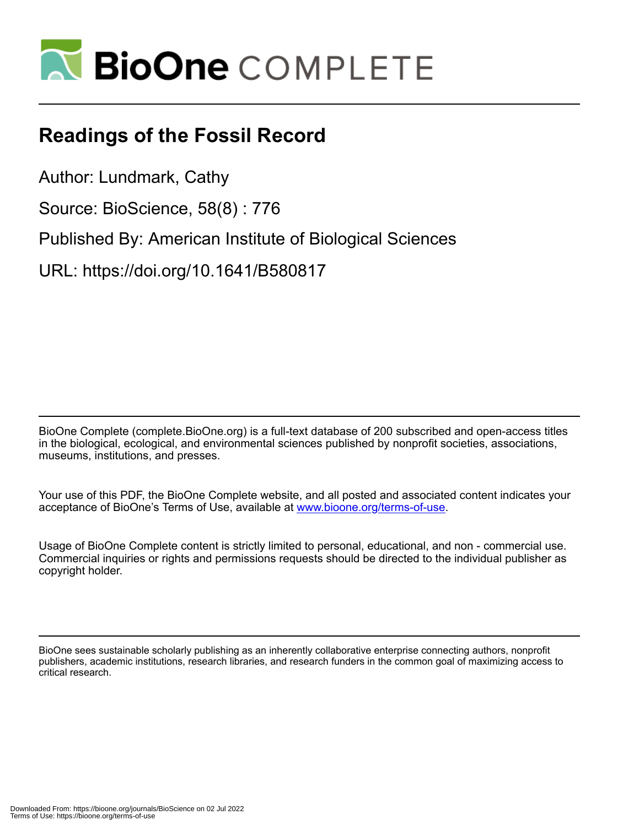

## **Readings of the Fossil Record**

Author: Lundmark, Cathy

Source: BioScience, 58(8) : 776

Published By: American Institute of Biological Sciences

URL: https://doi.org/10.1641/B580817

BioOne Complete (complete.BioOne.org) is a full-text database of 200 subscribed and open-access titles in the biological, ecological, and environmental sciences published by nonprofit societies, associations, museums, institutions, and presses.

Your use of this PDF, the BioOne Complete website, and all posted and associated content indicates your acceptance of BioOne's Terms of Use, available at www.bioone.org/terms-of-use.

Usage of BioOne Complete content is strictly limited to personal, educational, and non - commercial use. Commercial inquiries or rights and permissions requests should be directed to the individual publisher as copyright holder.

BioOne sees sustainable scholarly publishing as an inherently collaborative enterprise connecting authors, nonprofit publishers, academic institutions, research libraries, and research funders in the common goal of maximizing access to critical research.